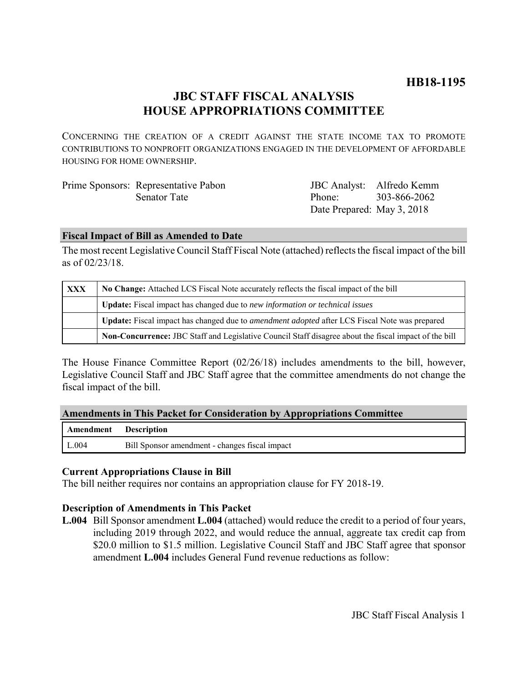# **HB18-1195**

# **JBC STAFF FISCAL ANALYSIS HOUSE APPROPRIATIONS COMMITTEE**

CONCERNING THE CREATION OF A CREDIT AGAINST THE STATE INCOME TAX TO PROMOTE CONTRIBUTIONS TO NONPROFIT ORGANIZATIONS ENGAGED IN THE DEVELOPMENT OF AFFORDABLE HOUSING FOR HOME OWNERSHIP.

| Prime Sponsors: Representative Pabon |                            | JBC Analyst: Alfredo Kemm |
|--------------------------------------|----------------------------|---------------------------|
| Senator Tate                         | Phone <sup>-</sup>         | 303-866-2062              |
|                                      | Date Prepared: May 3, 2018 |                           |

### **Fiscal Impact of Bill as Amended to Date**

The most recent Legislative Council Staff Fiscal Note (attached) reflects the fiscal impact of the bill as of 02/23/18.

| <b>XXX</b> | No Change: Attached LCS Fiscal Note accurately reflects the fiscal impact of the bill                 |  |
|------------|-------------------------------------------------------------------------------------------------------|--|
|            | Update: Fiscal impact has changed due to new information or technical issues                          |  |
|            | Update: Fiscal impact has changed due to <i>amendment adopted</i> after LCS Fiscal Note was prepared  |  |
|            | Non-Concurrence: JBC Staff and Legislative Council Staff disagree about the fiscal impact of the bill |  |

The House Finance Committee Report (02/26/18) includes amendments to the bill, however, Legislative Council Staff and JBC Staff agree that the committee amendments do not change the fiscal impact of the bill.

|  | <b>Amendments in This Packet for Consideration by Appropriations Committee</b> |  |  |
|--|--------------------------------------------------------------------------------|--|--|
|  |                                                                                |  |  |

| Amendment Description |                                                |
|-----------------------|------------------------------------------------|
| L.004                 | Bill Sponsor amendment - changes fiscal impact |

### **Current Appropriations Clause in Bill**

The bill neither requires nor contains an appropriation clause for FY 2018-19.

### **Description of Amendments in This Packet**

**L.004** Bill Sponsor amendment **L.004** (attached) would reduce the credit to a period of four years, including 2019 through 2022, and would reduce the annual, aggreate tax credit cap from \$20.0 million to \$1.5 million. Legislative Council Staff and JBC Staff agree that sponsor amendment **L.004** includes General Fund revenue reductions as follow: